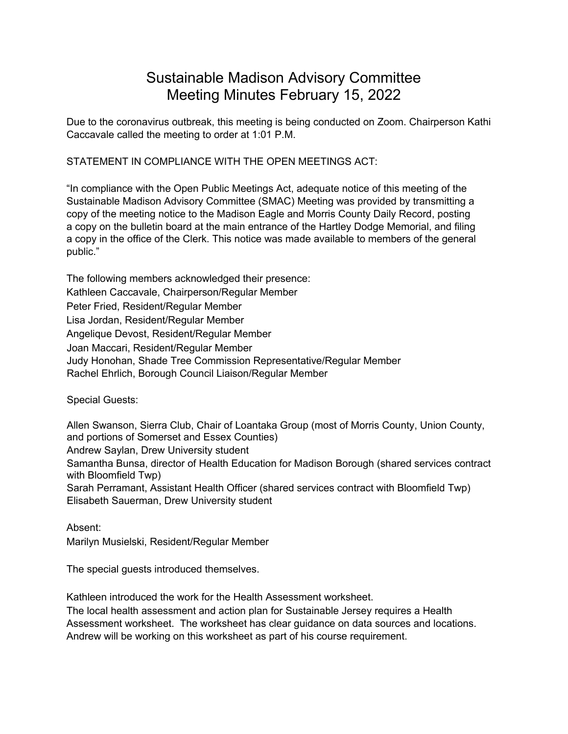## Sustainable Madison Advisory Committee Meeting Minutes February 15, 2022

Due to the coronavirus outbreak, this meeting is being conducted on Zoom. Chairperson Kathi Caccavale called the meeting to order at 1:01 P.M.

STATEMENT IN COMPLIANCE WITH THE OPEN MEETINGS ACT:

"In compliance with the Open Public Meetings Act, adequate notice of this meeting of the Sustainable Madison Advisory Committee (SMAC) Meeting was provided by transmitting a copy of the meeting notice to the Madison Eagle and Morris County Daily Record, posting a copy on the bulletin board at the main entrance of the Hartley Dodge Memorial, and filing a copy in the office of the Clerk. This notice was made available to members of the general public."

The following members acknowledged their presence: Kathleen Caccavale, Chairperson/Regular Member Peter Fried, Resident/Regular Member Lisa Jordan, Resident/Regular Member Angelique Devost, Resident/Regular Member Joan Maccari, Resident/Regular Member Judy Honohan, Shade Tree Commission Representative/Regular Member Rachel Ehrlich, Borough Council Liaison/Regular Member

Special Guests:

Allen Swanson, Sierra Club, Chair of Loantaka Group (most of Morris County, Union County, and portions of Somerset and Essex Counties) Andrew Saylan, Drew University student Samantha Bunsa, director of Health Education for Madison Borough (shared services contract with Bloomfield Twp) Sarah Perramant, Assistant Health Officer (shared services contract with Bloomfield Twp) Elisabeth Sauerman, Drew University student

Absent: Marilyn Musielski, Resident/Regular Member

The special guests introduced themselves.

Kathleen introduced the work for the Health Assessment worksheet.

The local health assessment and action plan for Sustainable Jersey requires a Health Assessment worksheet. The worksheet has clear guidance on data sources and locations. Andrew will be working on this worksheet as part of his course requirement.